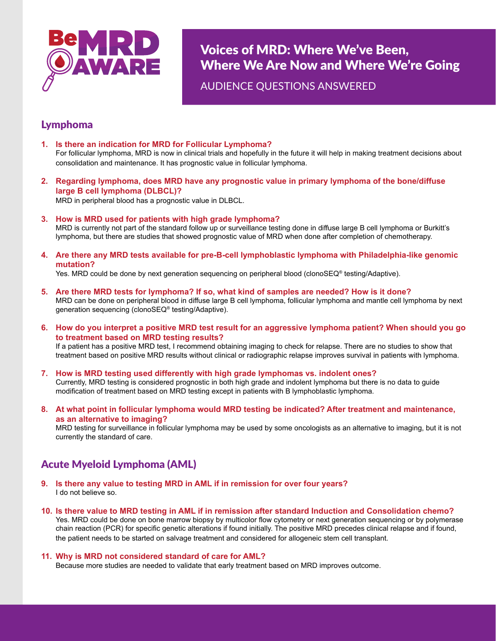

Voices of MRD: Where We've Been, Where We Are Now and Where We're Going

AUDIENCE QUESTIONS ANSWERED

### Lymphoma

- **1. Is there an indication for MRD for Follicular Lymphoma?** For follicular lymphoma, MRD is now in clinical trials and hopefully in the future it will help in making treatment decisions about consolidation and maintenance. It has prognostic value in follicular lymphoma.
- **2. Regarding lymphoma, does MRD have any prognostic value in primary lymphoma of the bone/diffuse large B cell lymphoma (DLBCL)?**

MRD in peripheral blood has a prognostic value in DLBCL.

**3. How is MRD used for patients with high grade lymphoma?**

MRD is currently not part of the standard follow up or surveillance testing done in diffuse large B cell lymphoma or Burkitt's lymphoma, but there are studies that showed prognostic value of MRD when done after completion of chemotherapy.

**4. Are there any MRD tests available for pre-B-cell lymphoblastic lymphoma with Philadelphia-like genomic mutation?** 

Yes. MRD could be done by next generation sequencing on peripheral blood (clonoSEQ® testing/Adaptive).

- **5. Are there MRD tests for lymphoma? If so, what kind of samples are needed? How is it done?** MRD can be done on peripheral blood in diffuse large B cell lymphoma, follicular lymphoma and mantle cell lymphoma by next generation sequencing (clonoSEQ® testing/Adaptive).
- **6. How do you interpret a positive MRD test result for an aggressive lymphoma patient? When should you go to treatment based on MRD testing results?** If a patient has a positive MRD test, I recommend obtaining imaging to check for relapse. There are no studies to show that treatment based on positive MRD results without clinical or radiographic relapse improves survival in patients with lymphoma.
- **7. How is MRD testing used differently with high grade lymphomas vs. indolent ones?** Currently, MRD testing is considered prognostic in both high grade and indolent lymphoma but there is no data to guide modification of treatment based on MRD testing except in patients with B lymphoblastic lymphoma.
- **8. At what point in follicular lymphoma would MRD testing be indicated? After treatment and maintenance, as an alternative to imaging?**

MRD testing for surveillance in follicular lymphoma may be used by some oncologists as an alternative to imaging, but it is not currently the standard of care.

# Acute Myeloid Lymphoma (AML)

- **9. Is there any value to testing MRD in AML if in remission for over four years?** I do not believe so.
- **10. Is there value to MRD testing in AML if in remission after standard Induction and Consolidation chemo?** Yes. MRD could be done on bone marrow biopsy by multicolor flow cytometry or next generation sequencing or by polymerase chain reaction (PCR) for specific genetic alterations if found initially. The positive MRD precedes clinical relapse and if found, the patient needs to be started on salvage treatment and considered for allogeneic stem cell transplant.

### **11. Why is MRD not considered standard of care for AML?**

Because more studies are needed to validate that early treatment based on MRD improves outcome.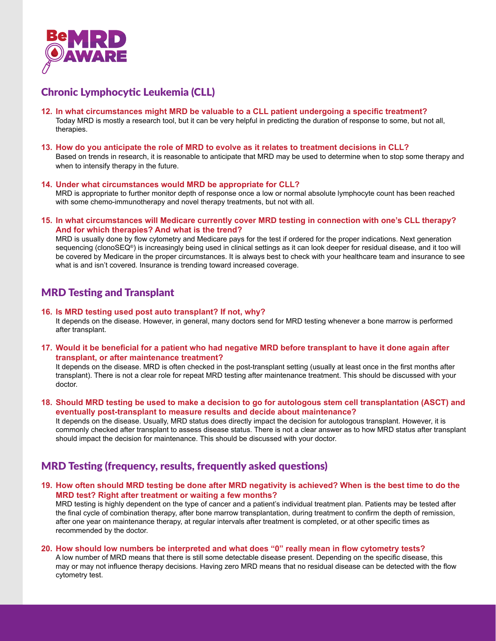

# Chronic Lymphocytic Leukemia (CLL)

- **12. In what circumstances might MRD be valuable to a CLL patient undergoing a specific treatment?** Today MRD is mostly a research tool, but it can be very helpful in predicting the duration of response to some, but not all, therapies.
- **13. How do you anticipate the role of MRD to evolve as it relates to treatment decisions in CLL?** Based on trends in research, it is reasonable to anticipate that MRD may be used to determine when to stop some therapy and when to intensify therapy in the future.

#### **14. Under what circumstances would MRD be appropriate for CLL?**

MRD is appropriate to further monitor depth of response once a low or normal absolute lymphocyte count has been reached with some chemo-immunotherapy and novel therapy treatments, but not with all.

**15. In what circumstances will Medicare currently cover MRD testing in connection with one's CLL therapy? And for which therapies? And what is the trend?**

MRD is usually done by flow cytometry and Medicare pays for the test if ordered for the proper indications. Next generation sequencing (clonoSEQ<sup>®</sup>) is increasingly being used in clinical settings as it can look deeper for residual disease, and it too will be covered by Medicare in the proper circumstances. It is always best to check with your healthcare team and insurance to see what is and isn't covered. Insurance is trending toward increased coverage.

### MRD Testing and Transplant

#### **16. Is MRD testing used post auto transplant? If not, why?**

It depends on the disease. However, in general, many doctors send for MRD testing whenever a bone marrow is performed after transplant.

**17. Would it be beneficial for a patient who had negative MRD before transplant to have it done again after transplant, or after maintenance treatment?**

It depends on the disease. MRD is often checked in the post-transplant setting (usually at least once in the first months after transplant). There is not a clear role for repeat MRD testing after maintenance treatment. This should be discussed with your doctor.

**18. Should MRD testing be used to make a decision to go for autologous stem cell transplantation (ASCT) and eventually post-transplant to measure results and decide about maintenance?**

It depends on the disease. Usually, MRD status does directly impact the decision for autologous transplant. However, it is commonly checked after transplant to assess disease status. There is not a clear answer as to how MRD status after transplant should impact the decision for maintenance. This should be discussed with your doctor.

## MRD Testing (frequency, results, frequently asked questions)

**19. How often should MRD testing be done after MRD negativity is achieved? When is the best time to do the MRD test? Right after treatment or waiting a few months?** 

MRD testing is highly dependent on the type of cancer and a patient's individual treatment plan. Patients may be tested after the final cycle of combination therapy, after bone marrow transplantation, during treatment to confirm the depth of remission, after one year on maintenance therapy, at regular intervals after treatment is completed, or at other specific times as recommended by the doctor.

#### **20. How should low numbers be interpreted and what does "0" really mean in flow cytometry tests?**

A low number of MRD means that there is still some detectable disease present. Depending on the specific disease, this may or may not influence therapy decisions. Having zero MRD means that no residual disease can be detected with the flow cytometry test.